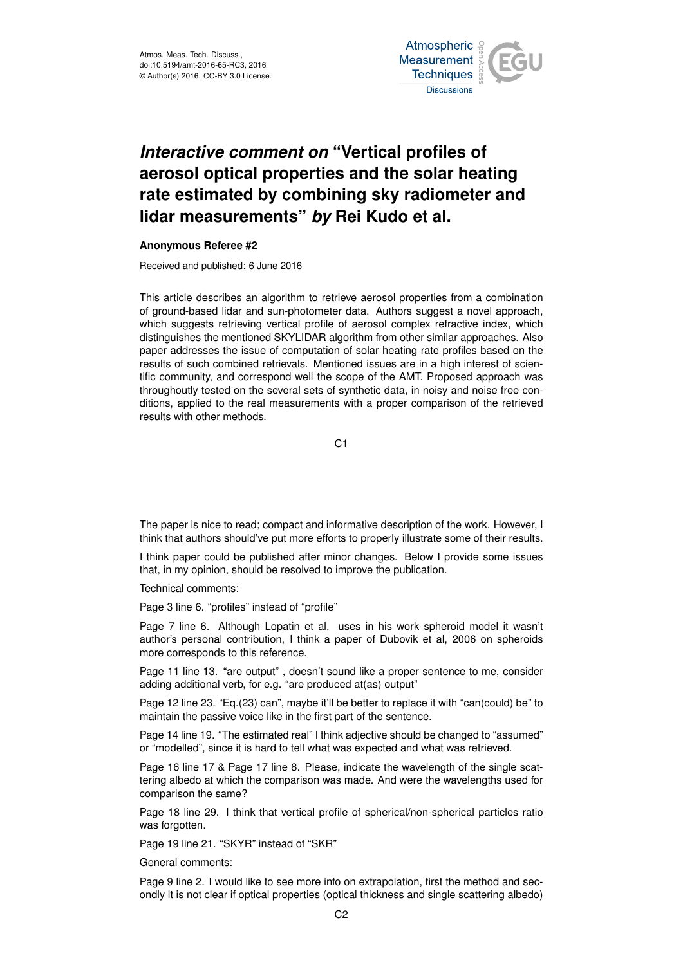

## *Interactive comment on* **"Vertical profiles of aerosol optical properties and the solar heating rate estimated by combining sky radiometer and lidar measurements"** *by* **Rei Kudo et al.**

## **Anonymous Referee #2**

Received and published: 6 June 2016

This article describes an algorithm to retrieve aerosol properties from a combination of ground-based lidar and sun-photometer data. Authors suggest a novel approach, which suggests retrieving vertical profile of aerosol complex refractive index, which distinguishes the mentioned SKYLIDAR algorithm from other similar approaches. Also paper addresses the issue of computation of solar heating rate profiles based on the results of such combined retrievals. Mentioned issues are in a high interest of scientific community, and correspond well the scope of the AMT. Proposed approach was throughoutly tested on the several sets of synthetic data, in noisy and noise free conditions, applied to the real measurements with a proper comparison of the retrieved results with other methods.

C1

The paper is nice to read; compact and informative description of the work. However, I think that authors should've put more efforts to properly illustrate some of their results.

I think paper could be published after minor changes. Below I provide some issues that, in my opinion, should be resolved to improve the publication.

Technical comments:

Page 3 line 6. "profiles" instead of "profile"

Page 7 line 6. Although Lopatin et al. uses in his work spheroid model it wasn't author's personal contribution, I think a paper of Dubovik et al, 2006 on spheroids more corresponds to this reference.

Page 11 line 13. "are output" , doesn't sound like a proper sentence to me, consider adding additional verb, for e.g. "are produced at(as) output"

Page 12 line 23. "Eq.(23) can", maybe it'll be better to replace it with "can(could) be" to maintain the passive voice like in the first part of the sentence.

Page 14 line 19. "The estimated real" I think adjective should be changed to "assumed" or "modelled", since it is hard to tell what was expected and what was retrieved.

Page 16 line 17 & Page 17 line 8. Please, indicate the wavelength of the single scattering albedo at which the comparison was made. And were the wavelengths used for comparison the same?

Page 18 line 29. I think that vertical profile of spherical/non-spherical particles ratio was forgotten.

Page 19 line 21. "SKYR" instead of "SKR"

General comments:

Page 9 line 2. I would like to see more info on extrapolation, first the method and secondly it is not clear if optical properties (optical thickness and single scattering albedo)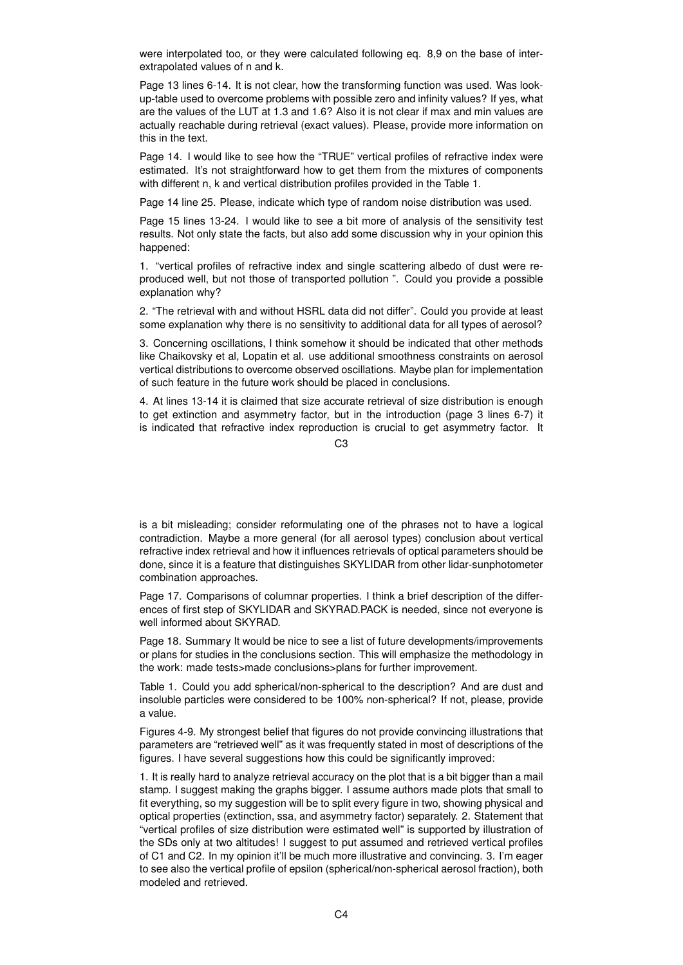were interpolated too, or they were calculated following eq. 8,9 on the base of interextrapolated values of n and k.

Page 13 lines 6-14. It is not clear, how the transforming function was used. Was lookup-table used to overcome problems with possible zero and infinity values? If yes, what are the values of the LUT at 1.3 and 1.6? Also it is not clear if max and min values are actually reachable during retrieval (exact values). Please, provide more information on this in the text.

Page 14. I would like to see how the "TRUE" vertical profiles of refractive index were estimated. It's not straightforward how to get them from the mixtures of components with different n, k and vertical distribution profiles provided in the Table 1.

Page 14 line 25. Please, indicate which type of random noise distribution was used.

Page 15 lines 13-24. I would like to see a bit more of analysis of the sensitivity test results. Not only state the facts, but also add some discussion why in your opinion this happened:

1. "vertical profiles of refractive index and single scattering albedo of dust were reproduced well, but not those of transported pollution ". Could you provide a possible explanation why?

2. "The retrieval with and without HSRL data did not differ". Could you provide at least some explanation why there is no sensitivity to additional data for all types of aerosol?

3. Concerning oscillations, I think somehow it should be indicated that other methods like Chaikovsky et al, Lopatin et al. use additional smoothness constraints on aerosol vertical distributions to overcome observed oscillations. Maybe plan for implementation of such feature in the future work should be placed in conclusions.

4. At lines 13-14 it is claimed that size accurate retrieval of size distribution is enough to get extinction and asymmetry factor, but in the introduction (page 3 lines 6-7) it is indicated that refractive index reproduction is crucial to get asymmetry factor. It

 $C<sub>3</sub>$ 

is a bit misleading; consider reformulating one of the phrases not to have a logical contradiction. Maybe a more general (for all aerosol types) conclusion about vertical refractive index retrieval and how it influences retrievals of optical parameters should be done, since it is a feature that distinguishes SKYLIDAR from other lidar-sunphotometer combination approaches.

Page 17. Comparisons of columnar properties. I think a brief description of the differences of first step of SKYLIDAR and SKYRAD.PACK is needed, since not everyone is well informed about SKYRAD.

Page 18. Summary It would be nice to see a list of future developments/improvements or plans for studies in the conclusions section. This will emphasize the methodology in the work: made tests>made conclusions>plans for further improvement.

Table 1. Could you add spherical/non-spherical to the description? And are dust and insoluble particles were considered to be 100% non-spherical? If not, please, provide a value.

Figures 4-9. My strongest belief that figures do not provide convincing illustrations that parameters are "retrieved well" as it was frequently stated in most of descriptions of the figures. I have several suggestions how this could be significantly improved:

1. It is really hard to analyze retrieval accuracy on the plot that is a bit bigger than a mail stamp. I suggest making the graphs bigger. I assume authors made plots that small to fit everything, so my suggestion will be to split every figure in two, showing physical and optical properties (extinction, ssa, and asymmetry factor) separately. 2. Statement that "vertical profiles of size distribution were estimated well" is supported by illustration of the SDs only at two altitudes! I suggest to put assumed and retrieved vertical profiles of C1 and C2. In my opinion it'll be much more illustrative and convincing. 3. I'm eager to see also the vertical profile of epsilon (spherical/non-spherical aerosol fraction), both modeled and retrieved.